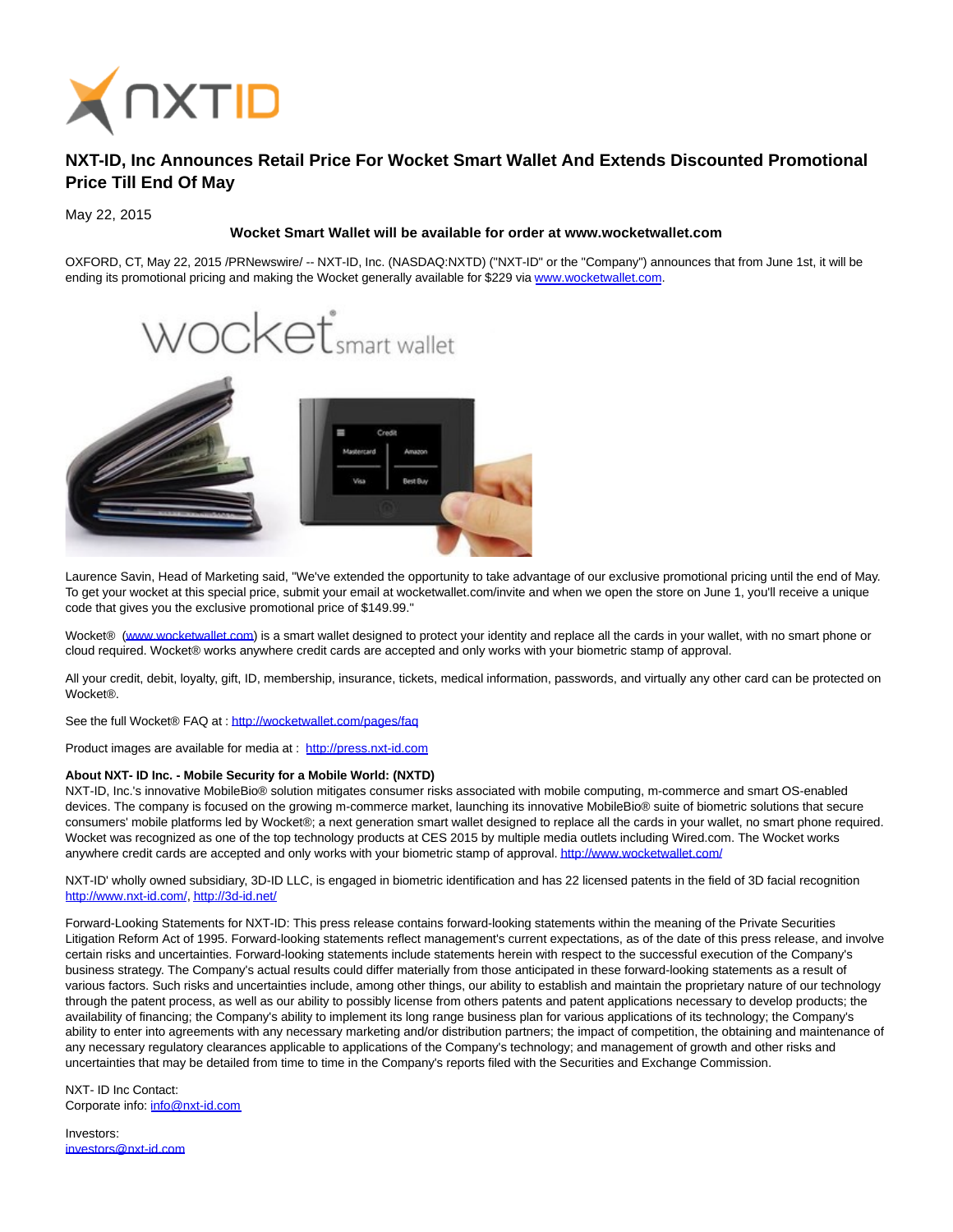

## **NXT-ID, Inc Announces Retail Price For Wocket Smart Wallet And Extends Discounted Promotional Price Till End Of May**

May 22, 2015

## **Wocket Smart Wallet will be available for order at www.wocketwallet.com**

OXFORD, CT, May 22, 2015 /PRNewswire/ -- NXT-ID, Inc. (NASDAQ:NXTD) ("NXT-ID" or the "Company") announces that from June 1st, it will be ending its promotional pricing and making the Wocket generally available for \$229 via [www.wocketwallet.com.](http://www.wocketwallet.com/)



Laurence Savin, Head of Marketing said, "We've extended the opportunity to take advantage of our exclusive promotional pricing until the end of May. To get your wocket at this special price, submit your email at wocketwallet.com/invite and when we open the store on June 1, you'll receive a unique code that gives you the exclusive promotional price of \$149.99."

Wocket® [\(www.wocketwallet.com\)](http://www.wocketwallet.com/) is a smart wallet designed to protect your identity and replace all the cards in your wallet, with no smart phone or cloud required. Wocket® works anywhere credit cards are accepted and only works with your biometric stamp of approval.

All your credit, debit, loyalty, gift, ID, membership, insurance, tickets, medical information, passwords, and virtually any other card can be protected on **Wocket®** 

See the full Wocket® FAQ at :<http://wocketwallet.com/pages/faq>

Product images are available for media at : [http://press.nxt-id.com](http://press.nxt-id.com/)

## **About NXT- ID Inc. - Mobile Security for a Mobile World: (NXTD)**

NXT-ID, Inc.'s innovative MobileBio® solution mitigates consumer risks associated with mobile computing, m-commerce and smart OS-enabled devices. The company is focused on the growing m-commerce market, launching its innovative MobileBio® suite of biometric solutions that secure consumers' mobile platforms led by Wocket®; a next generation smart wallet designed to replace all the cards in your wallet, no smart phone required. Wocket was recognized as one of the top technology products at CES 2015 by multiple media outlets including Wired.com. The Wocket works anywhere credit cards are accepted and only works with your biometric stamp of approval[. http://www.wocketwallet.com/](http://www.wocketwallet.com/)

NXT-ID' wholly owned subsidiary, 3D-ID LLC, is engaged in biometric identification and has 22 licensed patents in the field of 3D facial recognition [http://www.nxt-id.com/,](http://www.nxt-id.com/)<http://3d-id.net/>

Forward-Looking Statements for NXT-ID: This press release contains forward-looking statements within the meaning of the Private Securities Litigation Reform Act of 1995. Forward-looking statements reflect management's current expectations, as of the date of this press release, and involve certain risks and uncertainties. Forward-looking statements include statements herein with respect to the successful execution of the Company's business strategy. The Company's actual results could differ materially from those anticipated in these forward-looking statements as a result of various factors. Such risks and uncertainties include, among other things, our ability to establish and maintain the proprietary nature of our technology through the patent process, as well as our ability to possibly license from others patents and patent applications necessary to develop products; the availability of financing; the Company's ability to implement its long range business plan for various applications of its technology; the Company's ability to enter into agreements with any necessary marketing and/or distribution partners; the impact of competition, the obtaining and maintenance of any necessary regulatory clearances applicable to applications of the Company's technology; and management of growth and other risks and uncertainties that may be detailed from time to time in the Company's reports filed with the Securities and Exchange Commission.

NXT- ID Inc Contact: Corporate info: [info@nxt-id.com](mailto:info@nxt-id.com)

Investors: [investors@nxt-id.com](mailto:investors@nxt-id.com)